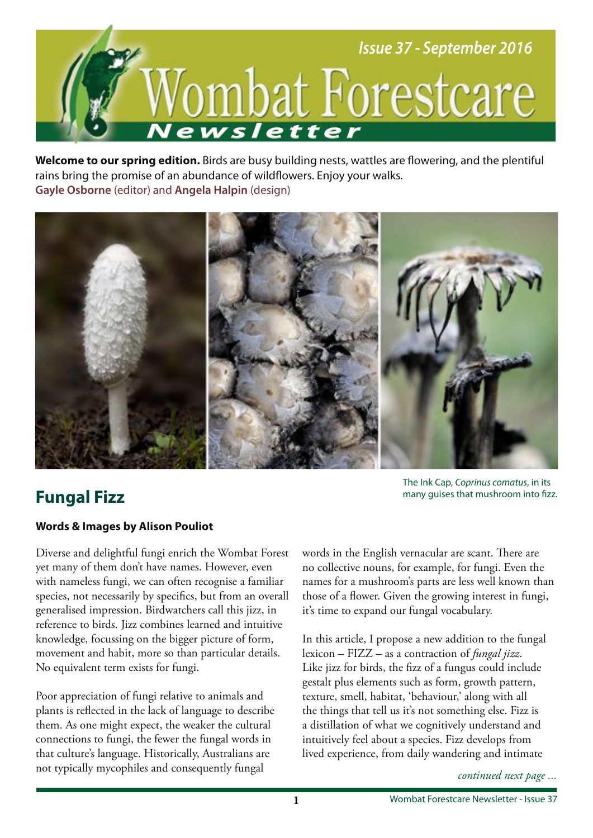

**Welcome to our spring edition.** Birds are busy building nests, wattles are fowering, and the plentiful rains bring the promise of an abundance of wildfowers. Enjoy your walks. **Gayle Osborne** (editor) and **Angela Halpin** (design)



## **Fungal Fizz**

The Ink Cap, Coprinus comatus, in its many guises that mushroom into fzz.

## **Words & Images by Alison Pouliot**

Diverse and delightful fungi enrich the Wombat Forest yet many of them don't have names. However, even with nameless fungi, we can often recognise a familiar species, not necessarily by specifcs, but from an overall generalised impression. Birdwatchers call this jizz, in reference to birds. Jizz combines learned and intuitive knowledge, focussing on the bigger picture of form, movement and habit, more so than particular details. No equivalent term exists for fungi.

Poor appreciation of fungi relative to animals and plants is refected in the lack of language to describe them. As one might expect, the weaker the cultural connections to fungi, the fewer the fungal words in that culture's language. Historically, Australians are not typically mycophiles and consequently fungal

words in the English vernacular are scant. There are no collective nouns, for example, for fungi. Even the names for a mushroom's parts are less well known than those of a flower. Given the growing interest in fungi, it's time to expand our fungal vocabulary.

In this article, I propose a new addition to the fungal lexicon – FIZZ – as a contraction of *fungal jizz*. Like jizz for birds, the fzz of a fungus could include gestalt plus elements such as form, growth pattern, texture, smell, habitat, 'behaviour,' along with all the things that tell us it's not something else. Fizz is a distillation of what we cognitively understand and intuitively feel about a species. Fizz develops from lived experience, from daily wandering and intimate

*continued next page ...*